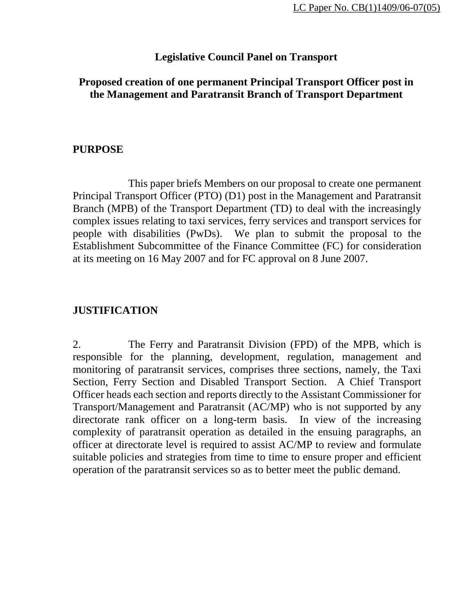### **Legislative Council Panel on Transport**

#### **Proposed creation of one permanent Principal Transport Officer post in the Management and Paratransit Branch of Transport Department**

#### **PURPOSE**

 This paper briefs Members on our proposal to create one permanent Principal Transport Officer (PTO) (D1) post in the Management and Paratransit Branch (MPB) of the Transport Department (TD) to deal with the increasingly complex issues relating to taxi services, ferry services and transport services for people with disabilities (PwDs). We plan to submit the proposal to the Establishment Subcommittee of the Finance Committee (FC) for consideration at its meeting on 16 May 2007 and for FC approval on 8 June 2007.

### **JUSTIFICATION**

2. The Ferry and Paratransit Division (FPD) of the MPB, which is responsible for the planning, development, regulation, management and monitoring of paratransit services, comprises three sections, namely, the Taxi Section, Ferry Section and Disabled Transport Section. A Chief Transport Officer heads each section and reports directly to the Assistant Commissioner for Transport/Management and Paratransit (AC/MP) who is not supported by any directorate rank officer on a long-term basis. In view of the increasing complexity of paratransit operation as detailed in the ensuing paragraphs, an officer at directorate level is required to assist AC/MP to review and formulate suitable policies and strategies from time to time to ensure proper and efficient operation of the paratransit services so as to better meet the public demand.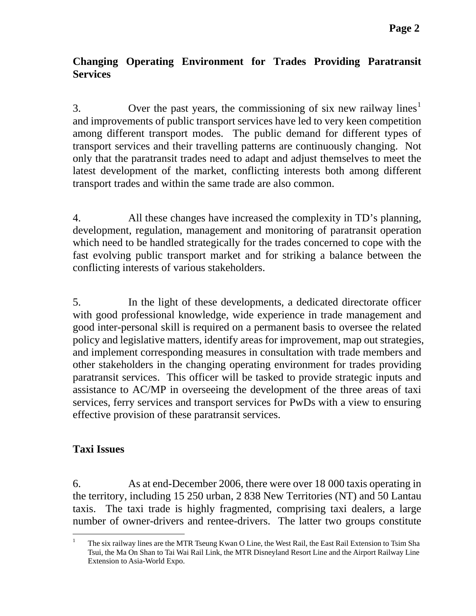# **Changing Operating Environment for Trades Providing Paratransit Services**

3. Over the past years, the commissioning of six new railway lines<sup>[1](#page-1-0)</sup> and improvements of public transport services have led to very keen competition among different transport modes. The public demand for different types of transport services and their travelling patterns are continuously changing. Not only that the paratransit trades need to adapt and adjust themselves to meet the latest development of the market, conflicting interests both among different transport trades and within the same trade are also common.

4. All these changes have increased the complexity in TD's planning, development, regulation, management and monitoring of paratransit operation which need to be handled strategically for the trades concerned to cope with the fast evolving public transport market and for striking a balance between the conflicting interests of various stakeholders.

5. In the light of these developments, a dedicated directorate officer with good professional knowledge, wide experience in trade management and good inter-personal skill is required on a permanent basis to oversee the related policy and legislative matters, identify areas for improvement, map out strategies, and implement corresponding measures in consultation with trade members and other stakeholders in the changing operating environment for trades providing paratransit services. This officer will be tasked to provide strategic inputs and assistance to AC/MP in overseeing the development of the three areas of taxi services, ferry services and transport services for PwDs with a view to ensuring effective provision of these paratransit services.

# **Taxi Issues**

6. As at end-December 2006, there were over 18 000 taxis operating in the territory, including 15 250 urban, 2 838 New Territories (NT) and 50 Lantau taxis. The taxi trade is highly fragmented, comprising taxi dealers, a large number of owner-drivers and rentee-drivers. The latter two groups constitute

<span id="page-1-0"></span> $\frac{1}{1}$  The six railway lines are the MTR Tseung Kwan O Line, the West Rail, the East Rail Extension to Tsim Sha Tsui, the Ma On Shan to Tai Wai Rail Link, the MTR Disneyland Resort Line and the Airport Railway Line Extension to Asia-World Expo.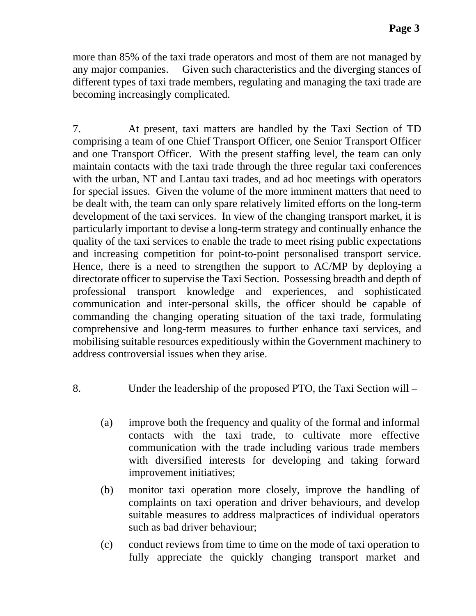more than 85% of the taxi trade operators and most of them are not managed by any major companies. Given such characteristics and the diverging stances of different types of taxi trade members, regulating and managing the taxi trade are becoming increasingly complicated.

7. At present, taxi matters are handled by the Taxi Section of TD comprising a team of one Chief Transport Officer, one Senior Transport Officer and one Transport Officer. With the present staffing level, the team can only maintain contacts with the taxi trade through the three regular taxi conferences with the urban, NT and Lantau taxi trades, and ad hoc meetings with operators for special issues. Given the volume of the more imminent matters that need to be dealt with, the team can only spare relatively limited efforts on the long-term development of the taxi services. In view of the changing transport market, it is particularly important to devise a long-term strategy and continually enhance the quality of the taxi services to enable the trade to meet rising public expectations and increasing competition for point-to-point personalised transport service. Hence, there is a need to strengthen the support to AC/MP by deploying a directorate officer to supervise the Taxi Section. Possessing breadth and depth of professional transport knowledge and experiences, and sophisticated communication and inter-personal skills, the officer should be capable of commanding the changing operating situation of the taxi trade, formulating comprehensive and long-term measures to further enhance taxi services, and mobilising suitable resources expeditiously within the Government machinery to address controversial issues when they arise.

- 8. Under the leadership of the proposed PTO, the Taxi Section will
	- (a) improve both the frequency and quality of the formal and informal contacts with the taxi trade, to cultivate more effective communication with the trade including various trade members with diversified interests for developing and taking forward improvement initiatives;
	- (b) monitor taxi operation more closely, improve the handling of complaints on taxi operation and driver behaviours, and develop suitable measures to address malpractices of individual operators such as bad driver behaviour;
	- (c) conduct reviews from time to time on the mode of taxi operation to fully appreciate the quickly changing transport market and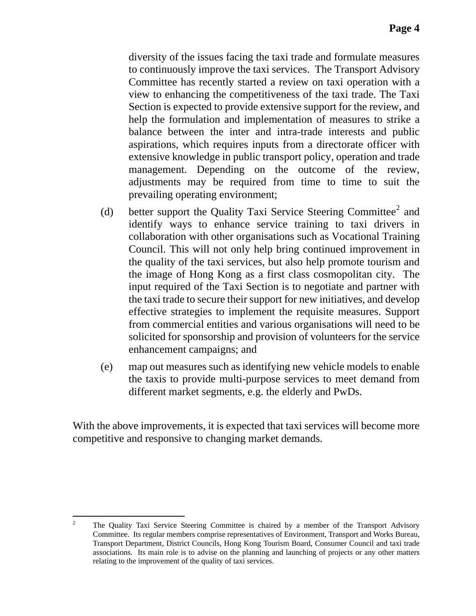diversity of the issues facing the taxi trade and formulate measures to continuously improve the taxi services. The Transport Advisory Committee has recently started a review on taxi operation with a view to enhancing the competitiveness of the taxi trade. The Taxi Section is expected to provide extensive support for the review, and help the formulation and implementation of measures to strike a balance between the inter and intra-trade interests and public aspirations, which requires inputs from a directorate officer with extensive knowledge in public transport policy, operation and trade management. Depending on the outcome of the review, adjustments may be required from time to time to suit the prevailing operating environment;

- (d) better support the Quality Taxi Service Steering Committee<sup>[2](#page-3-0)</sup> and identify ways to enhance service training to taxi drivers in collaboration with other organisations such as Vocational Training Council. This will not only help bring continued improvement in the quality of the taxi services, but also help promote tourism and the image of Hong Kong as a first class cosmopolitan city. The input required of the Taxi Section is to negotiate and partner with the taxi trade to secure their support for new initiatives, and develop effective strategies to implement the requisite measures. Support from commercial entities and various organisations will need to be solicited for sponsorship and provision of volunteers for the service enhancement campaigns; and
- (e) map out measures such as identifying new vehicle models to enable the taxis to provide multi-purpose services to meet demand from different market segments, e.g. the elderly and PwDs.

With the above improvements, it is expected that taxi services will become more competitive and responsive to changing market demands.

<span id="page-3-0"></span> $\frac{1}{2}$  The Quality Taxi Service Steering Committee is chaired by a member of the Transport Advisory Committee. Its regular members comprise representatives of Environment, Transport and Works Bureau, Transport Department, District Councils, Hong Kong Tourism Board, Consumer Council and taxi trade associations. Its main role is to advise on the planning and launching of projects or any other matters relating to the improvement of the quality of taxi services.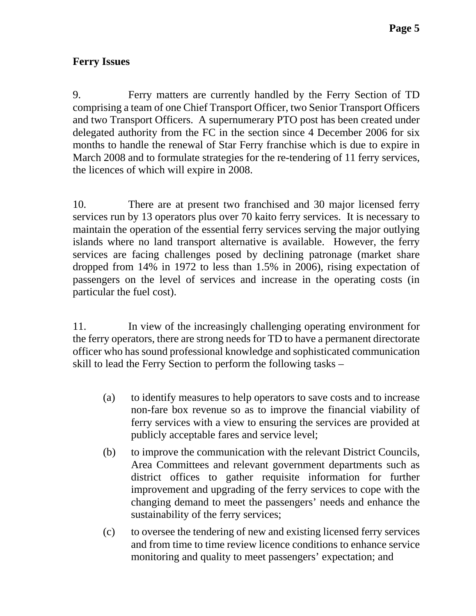# **Ferry Issues**

9. Ferry matters are currently handled by the Ferry Section of TD comprising a team of one Chief Transport Officer, two Senior Transport Officers and two Transport Officers. A supernumerary PTO post has been created under delegated authority from the FC in the section since 4 December 2006 for six months to handle the renewal of Star Ferry franchise which is due to expire in March 2008 and to formulate strategies for the re-tendering of 11 ferry services, the licences of which will expire in 2008.

10. There are at present two franchised and 30 major licensed ferry services run by 13 operators plus over 70 kaito ferry services. It is necessary to maintain the operation of the essential ferry services serving the major outlying islands where no land transport alternative is available. However, the ferry services are facing challenges posed by declining patronage (market share dropped from 14% in 1972 to less than 1.5% in 2006), rising expectation of passengers on the level of services and increase in the operating costs (in particular the fuel cost).

11. In view of the increasingly challenging operating environment for the ferry operators, there are strong needs for TD to have a permanent directorate officer who has sound professional knowledge and sophisticated communication skill to lead the Ferry Section to perform the following tasks –

- (a) to identify measures to help operators to save costs and to increase non-fare box revenue so as to improve the financial viability of ferry services with a view to ensuring the services are provided at publicly acceptable fares and service level;
- (b) to improve the communication with the relevant District Councils, Area Committees and relevant government departments such as district offices to gather requisite information for further improvement and upgrading of the ferry services to cope with the changing demand to meet the passengers' needs and enhance the sustainability of the ferry services;
- (c) to oversee the tendering of new and existing licensed ferry services and from time to time review licence conditions to enhance service monitoring and quality to meet passengers' expectation; and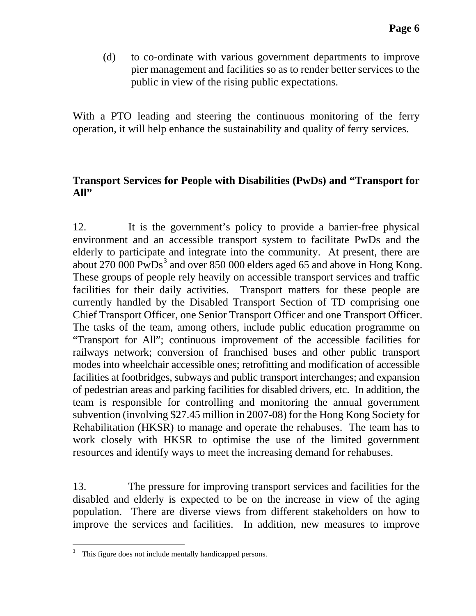(d) to co-ordinate with various government departments to improve pier management and facilities so as to render better services to the public in view of the rising public expectations.

With a PTO leading and steering the continuous monitoring of the ferry operation, it will help enhance the sustainability and quality of ferry services.

## **Transport Services for People with Disabilities (PwDs) and "Transport for All"**

12. It is the government's policy to provide a barrier-free physical environment and an accessible transport system to facilitate PwDs and the elderly to participate and integrate into the community. At present, there are about 270 000 PwDs<sup>[3](#page-5-0)</sup> and over 850 000 elders aged 65 and above in Hong Kong. These groups of people rely heavily on accessible transport services and traffic facilities for their daily activities. Transport matters for these people are currently handled by the Disabled Transport Section of TD comprising one Chief Transport Officer, one Senior Transport Officer and one Transport Officer. The tasks of the team, among others, include public education programme on "Transport for All"; continuous improvement of the accessible facilities for railways network; conversion of franchised buses and other public transport modes into wheelchair accessible ones; retrofitting and modification of accessible facilities at footbridges, subways and public transport interchanges; and expansion of pedestrian areas and parking facilities for disabled drivers, etc. In addition, the team is responsible for controlling and monitoring the annual government subvention (involving \$27.45 million in 2007-08) for the Hong Kong Society for Rehabilitation (HKSR) to manage and operate the rehabuses. The team has to work closely with HKSR to optimise the use of the limited government resources and identify ways to meet the increasing demand for rehabuses.

13. The pressure for improving transport services and facilities for the disabled and elderly is expected to be on the increase in view of the aging population. There are diverse views from different stakeholders on how to improve the services and facilities. In addition, new measures to improve

<span id="page-5-0"></span>l <sup>3</sup> This figure does not include mentally handicapped persons.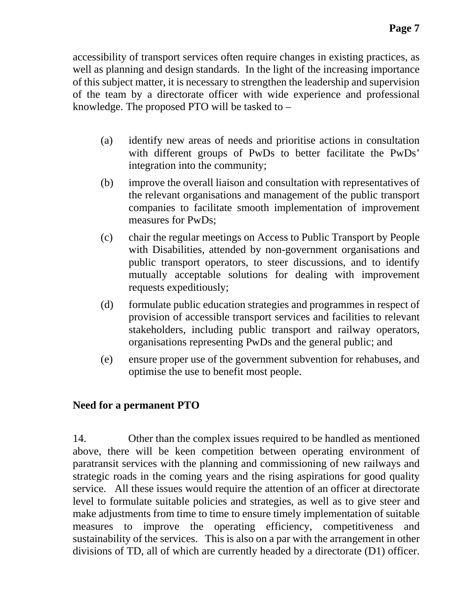accessibility of transport services often require changes in existing practices, as well as planning and design standards. In the light of the increasing importance of this subject matter, it is necessary to strengthen the leadership and supervision of the team by a directorate officer with wide experience and professional knowledge. The proposed PTO will be tasked to –

- (a) identify new areas of needs and prioritise actions in consultation with different groups of PwDs to better facilitate the PwDs' integration into the community;
- (b) improve the overall liaison and consultation with representatives of the relevant organisations and management of the public transport companies to facilitate smooth implementation of improvement measures for PwDs;
- (c) chair the regular meetings on Access to Public Transport by People with Disabilities, attended by non-government organisations and public transport operators, to steer discussions, and to identify mutually acceptable solutions for dealing with improvement requests expeditiously;
- (d) formulate public education strategies and programmes in respect of provision of accessible transport services and facilities to relevant stakeholders, including public transport and railway operators, organisations representing PwDs and the general public; and
- (e) ensure proper use of the government subvention for rehabuses, and optimise the use to benefit most people.

## **Need for a permanent PTO**

14. Other than the complex issues required to be handled as mentioned above, there will be keen competition between operating environment of paratransit services with the planning and commissioning of new railways and strategic roads in the coming years and the rising aspirations for good quality service. All these issues would require the attention of an officer at directorate level to formulate suitable policies and strategies, as well as to give steer and make adjustments from time to time to ensure timely implementation of suitable measures to improve the operating efficiency, competitiveness and sustainability of the services. This is also on a par with the arrangement in other divisions of TD, all of which are currently headed by a directorate (D1) officer.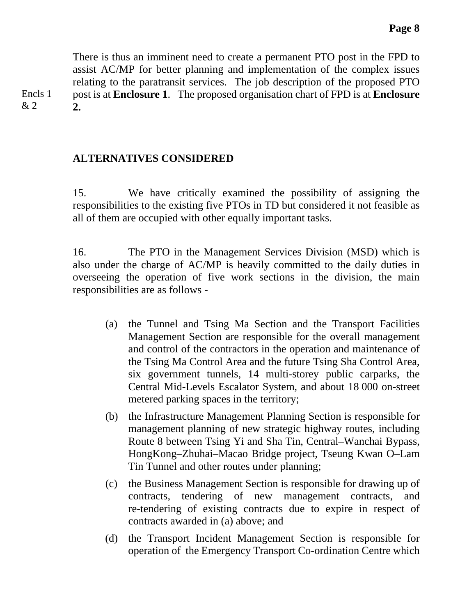There is thus an imminent need to create a permanent PTO post in the FPD to assist AC/MP for better planning and implementation of the complex issues relating to the paratransit services. The job description of the proposed PTO post is at **Enclosure 1**. The proposed organisation chart of FPD is at **Enclosure 2.**

## **ALTERNATIVES CONSIDERED**

15. We have critically examined the possibility of assigning the responsibilities to the existing five PTOs in TD but considered it not feasible as all of them are occupied with other equally important tasks.

16. The PTO in the Management Services Division (MSD) which is also under the charge of AC/MP is heavily committed to the daily duties in overseeing the operation of five work sections in the division, the main responsibilities are as follows -

- (a) the Tunnel and Tsing Ma Section and the Transport Facilities Management Section are responsible for the overall management and control of the contractors in the operation and maintenance of the Tsing Ma Control Area and the future Tsing Sha Control Area, six government tunnels, 14 multi-storey public carparks, the Central Mid-Levels Escalator System, and about 18 000 on-street metered parking spaces in the territory;
- (b) the Infrastructure Management Planning Section is responsible for management planning of new strategic highway routes, including Route 8 between Tsing Yi and Sha Tin, Central–Wanchai Bypass, HongKong–Zhuhai–Macao Bridge project, Tseung Kwan O–Lam Tin Tunnel and other routes under planning;
- (c) the Business Management Section is responsible for drawing up of contracts, tendering of new management contracts, and re-tendering of existing contracts due to expire in respect of contracts awarded in (a) above; and
- (d) the Transport Incident Management Section is responsible for operation of the Emergency Transport Co-ordination Centre which

Encls 1 & 2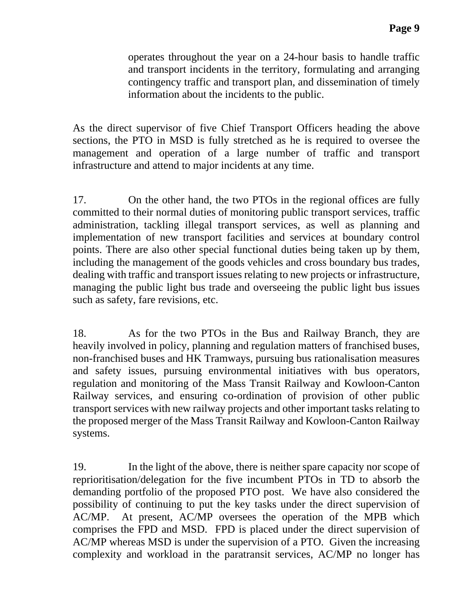operates throughout the year on a 24-hour basis to handle traffic and transport incidents in the territory, formulating and arranging contingency traffic and transport plan, and dissemination of timely information about the incidents to the public.

As the direct supervisor of five Chief Transport Officers heading the above sections, the PTO in MSD is fully stretched as he is required to oversee the management and operation of a large number of traffic and transport infrastructure and attend to major incidents at any time.

17. On the other hand, the two PTOs in the regional offices are fully committed to their normal duties of monitoring public transport services, traffic administration, tackling illegal transport services, as well as planning and implementation of new transport facilities and services at boundary control points. There are also other special functional duties being taken up by them, including the management of the goods vehicles and cross boundary bus trades, dealing with traffic and transport issues relating to new projects or infrastructure, managing the public light bus trade and overseeing the public light bus issues such as safety, fare revisions, etc.

18. As for the two PTOs in the Bus and Railway Branch, they are heavily involved in policy, planning and regulation matters of franchised buses, non-franchised buses and HK Tramways, pursuing bus rationalisation measures and safety issues, pursuing environmental initiatives with bus operators, regulation and monitoring of the Mass Transit Railway and Kowloon-Canton Railway services, and ensuring co-ordination of provision of other public transport services with new railway projects and other important tasks relating to the proposed merger of the Mass Transit Railway and Kowloon-Canton Railway systems.

19. In the light of the above, there is neither spare capacity nor scope of reprioritisation/delegation for the five incumbent PTOs in TD to absorb the demanding portfolio of the proposed PTO post. We have also considered the possibility of continuing to put the key tasks under the direct supervision of AC/MP. At present, AC/MP oversees the operation of the MPB which comprises the FPD and MSD. FPD is placed under the direct supervision of AC/MP whereas MSD is under the supervision of a PTO. Given the increasing complexity and workload in the paratransit services, AC/MP no longer has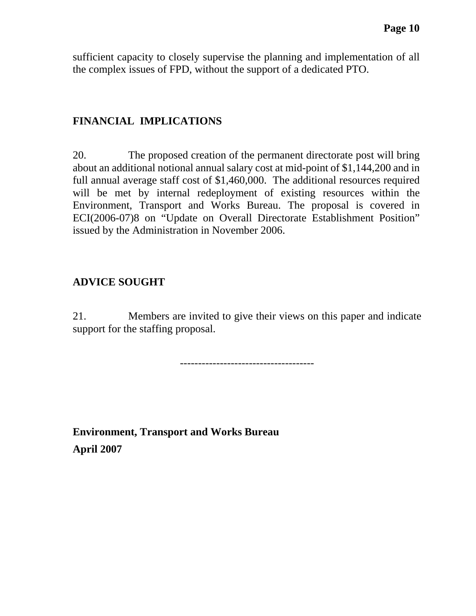sufficient capacity to closely supervise the planning and implementation of all the complex issues of FPD, without the support of a dedicated PTO.

## **FINANCIAL IMPLICATIONS**

20. The proposed creation of the permanent directorate post will bring about an additional notional annual salary cost at mid-point of \$1,144,200 and in full annual average staff cost of \$1,460,000. The additional resources required will be met by internal redeployment of existing resources within the Environment, Transport and Works Bureau. The proposal is covered in ECI(2006-07)8 on "Update on Overall Directorate Establishment Position" issued by the Administration in November 2006.

# **ADVICE SOUGHT**

21. Members are invited to give their views on this paper and indicate support for the staffing proposal.

-------------------------------------

**Environment, Transport and Works Bureau April 2007**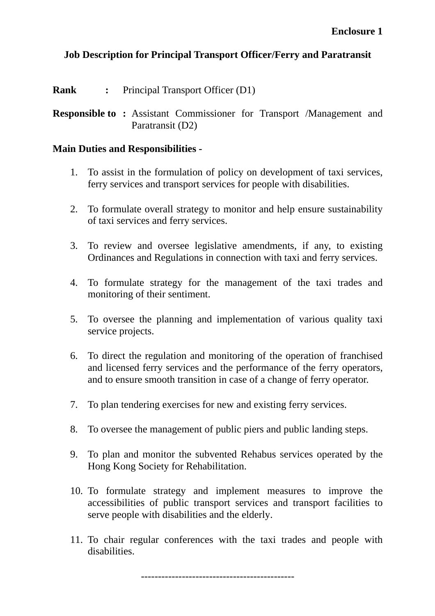# **Job Description for Principal Transport Officer/Ferry and Paratransit**

**Rank** : Principal Transport Officer (D1)

**Responsible to :** Assistant Commissioner for Transport /Management and Paratransit (D2)

### **Main Duties and Responsibilities -**

- 1. To assist in the formulation of policy on development of taxi services, ferry services and transport services for people with disabilities.
- 2. To formulate overall strategy to monitor and help ensure sustainability of taxi services and ferry services.
- 3. To review and oversee legislative amendments, if any, to existing Ordinances and Regulations in connection with taxi and ferry services.
- 4. To formulate strategy for the management of the taxi trades and monitoring of their sentiment.
- 5. To oversee the planning and implementation of various quality taxi service projects.
- 6. To direct the regulation and monitoring of the operation of franchised and licensed ferry services and the performance of the ferry operators, and to ensure smooth transition in case of a change of ferry operator.
- 7. To plan tendering exercises for new and existing ferry services.
- 8. To oversee the management of public piers and public landing steps.
- 9. To plan and monitor the subvented Rehabus services operated by the Hong Kong Society for Rehabilitation.
- 10. To formulate strategy and implement measures to improve the accessibilities of public transport services and transport facilities to serve people with disabilities and the elderly.
- 11. To chair regular conferences with the taxi trades and people with disabilities.